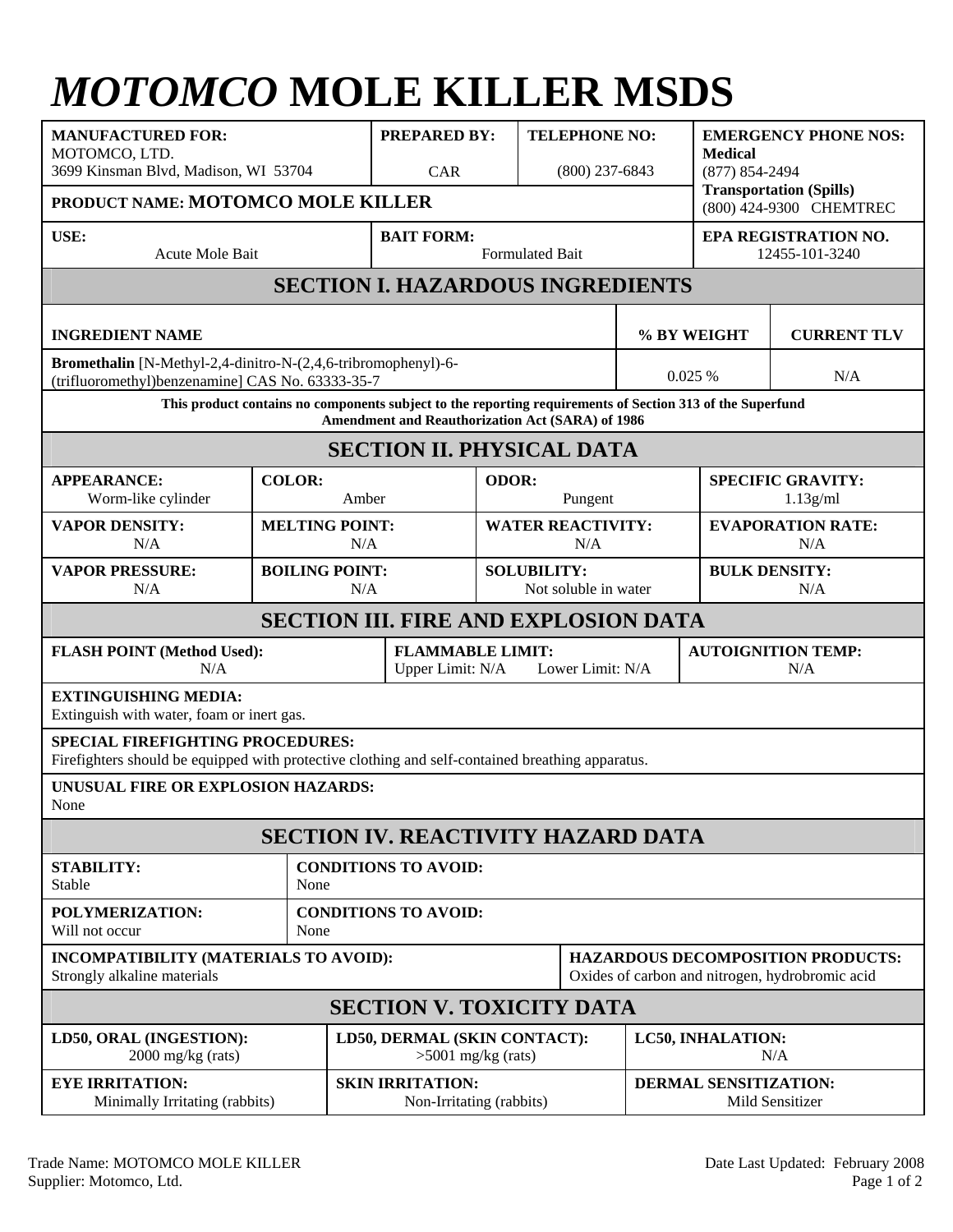## *MOTOMCO* **MOLE KILLER MSDS**

| <b>MANUFACTURED FOR:</b><br>MOTOMCO, LTD.<br>3699 Kinsman Blvd, Madison, WI 53704<br>PRODUCT NAME: MOTOMCO MOLE KILLER                                        |                        | <b>PREPARED BY:</b><br>CAR                                      |                                                      | <b>TELEPHONE NO:</b><br>$(800)$ 237-6843   |                                                                                             | <b>EMERGENCY PHONE NOS:</b><br><b>Medical</b><br>(877) 854-2494<br><b>Transportation (Spills)</b><br>(800) 424-9300 CHEMTREC |  |  |  |
|---------------------------------------------------------------------------------------------------------------------------------------------------------------|------------------------|-----------------------------------------------------------------|------------------------------------------------------|--------------------------------------------|---------------------------------------------------------------------------------------------|------------------------------------------------------------------------------------------------------------------------------|--|--|--|
| USE:<br>Acute Mole Bait                                                                                                                                       | <b>BAIT FORM:</b>      | <b>Formulated Bait</b>                                          |                                                      |                                            | EPA REGISTRATION NO.<br>12455-101-3240                                                      |                                                                                                                              |  |  |  |
| <b>SECTION I. HAZARDOUS INGREDIENTS</b>                                                                                                                       |                        |                                                                 |                                                      |                                            |                                                                                             |                                                                                                                              |  |  |  |
| <b>INGREDIENT NAME</b>                                                                                                                                        |                        |                                                                 |                                                      | % BY WEIGHT                                |                                                                                             | <b>CURRENT TLV</b>                                                                                                           |  |  |  |
| Bromethalin [N-Methyl-2,4-dinitro-N-(2,4,6-tribromophenyl)-6-<br>(trifluoromethyl)benzenamine] CAS No. 63333-35-7                                             |                        |                                                                 |                                                      | 0.025 %                                    |                                                                                             | N/A                                                                                                                          |  |  |  |
| This product contains no components subject to the reporting requirements of Section 313 of the Superfund<br>Amendment and Reauthorization Act (SARA) of 1986 |                        |                                                                 |                                                      |                                            |                                                                                             |                                                                                                                              |  |  |  |
| <b>SECTION II. PHYSICAL DATA</b>                                                                                                                              |                        |                                                                 |                                                      |                                            |                                                                                             |                                                                                                                              |  |  |  |
| <b>APPEARANCE:</b><br>Worm-like cylinder                                                                                                                      | <b>COLOR:</b><br>Amber |                                                                 | <b>ODOR:</b>                                         | Pungent                                    |                                                                                             | <b>SPECIFIC GRAVITY:</b><br>$1.13$ g/ml                                                                                      |  |  |  |
| <b>VAPOR DENSITY:</b><br>N/A                                                                                                                                  |                        | <b>MELTING POINT:</b><br>N/A                                    |                                                      | <b>WATER REACTIVITY:</b><br>N/A            |                                                                                             | <b>EVAPORATION RATE:</b><br>N/A                                                                                              |  |  |  |
| <b>VAPOR PRESSURE:</b><br>N/A                                                                                                                                 |                        | <b>BOILING POINT:</b><br>N/A                                    |                                                      | <b>SOLUBILITY:</b><br>Not soluble in water |                                                                                             | <b>BULK DENSITY:</b><br>N/A                                                                                                  |  |  |  |
| <b>SECTION III. FIRE AND EXPLOSION DATA</b>                                                                                                                   |                        |                                                                 |                                                      |                                            |                                                                                             |                                                                                                                              |  |  |  |
| <b>FLASH POINT (Method Used):</b><br>N/A                                                                                                                      |                        | <b>FLAMMABLE LIMIT:</b><br>Upper Limit: N/A<br>Lower Limit: N/A |                                                      |                                            | <b>AUTOIGNITION TEMP:</b><br>N/A                                                            |                                                                                                                              |  |  |  |
| <b>EXTINGUISHING MEDIA:</b><br>Extinguish with water, foam or inert gas.                                                                                      |                        |                                                                 |                                                      |                                            |                                                                                             |                                                                                                                              |  |  |  |
| <b>SPECIAL FIREFIGHTING PROCEDURES:</b><br>Firefighters should be equipped with protective clothing and self-contained breathing apparatus.                   |                        |                                                                 |                                                      |                                            |                                                                                             |                                                                                                                              |  |  |  |
| UNUSUAL FIRE OR EXPLOSION HAZARDS:<br>None                                                                                                                    |                        |                                                                 |                                                      |                                            |                                                                                             |                                                                                                                              |  |  |  |
| SECTION IV. REACTIVITY HAZARD DATA                                                                                                                            |                        |                                                                 |                                                      |                                            |                                                                                             |                                                                                                                              |  |  |  |
| <b>STABILITY:</b><br>Stable                                                                                                                                   | None                   | <b>CONDITIONS TO AVOID:</b>                                     |                                                      |                                            |                                                                                             |                                                                                                                              |  |  |  |
| POLYMERIZATION:<br>Will not occur                                                                                                                             | None                   | <b>CONDITIONS TO AVOID:</b>                                     |                                                      |                                            |                                                                                             |                                                                                                                              |  |  |  |
| INCOMPATIBILITY (MATERIALS TO AVOID):<br>Strongly alkaline materials                                                                                          |                        |                                                                 |                                                      |                                            | <b>HAZARDOUS DECOMPOSITION PRODUCTS:</b><br>Oxides of carbon and nitrogen, hydrobromic acid |                                                                                                                              |  |  |  |
| <b>SECTION V. TOXICITY DATA</b>                                                                                                                               |                        |                                                                 |                                                      |                                            |                                                                                             |                                                                                                                              |  |  |  |
| LD50, ORAL (INGESTION):<br>$2000$ mg/kg (rats)                                                                                                                |                        |                                                                 | LD50, DERMAL (SKIN CONTACT):<br>$>5001$ mg/kg (rats) |                                            |                                                                                             | <b>LC50, INHALATION:</b><br>N/A                                                                                              |  |  |  |
| <b>EYE IRRITATION:</b><br>Minimally Irritating (rabbits)                                                                                                      |                        | <b>SKIN IRRITATION:</b><br>Non-Irritating (rabbits)             |                                                      |                                            | <b>DERMAL SENSITIZATION:</b><br>Mild Sensitizer                                             |                                                                                                                              |  |  |  |